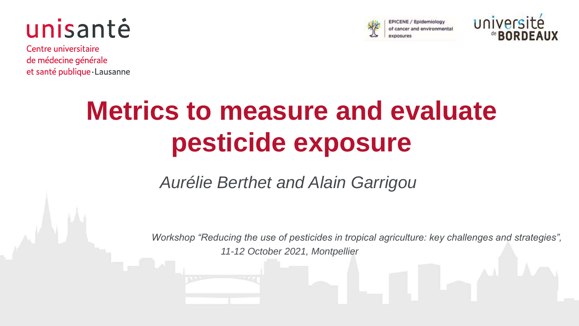



CENE / Epidemiology of cancer and environmental



Centre universitaire de médecine générale et santé publique Lausanne

## **Metrics to measure and evaluate pesticide exposure**

### *Aurélie Berthet and Alain Garrigou*

*Workshop "Reducing the use of pesticides in tropical agriculture: key challenges and strategies",*

*11-12 October 2021, Montpellier*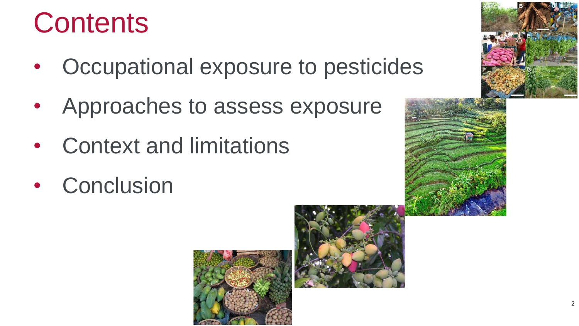## **Contents**

- Occupational exposure to pesticides
- Approaches to assess exposure
- Context and limitations
- Conclusion





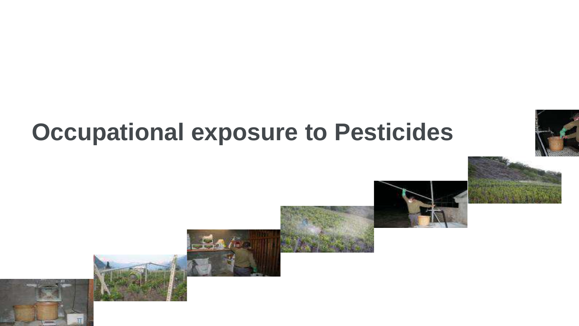## **Occupational exposure to Pesticides**



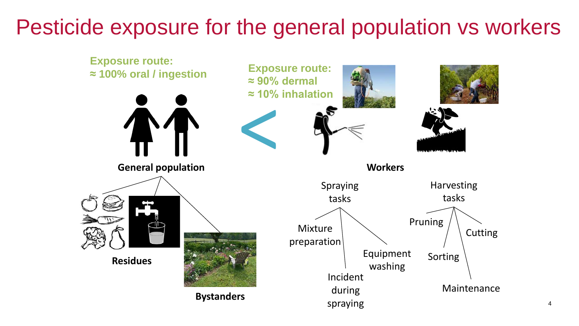### Pesticide exposure for the general population vs workers

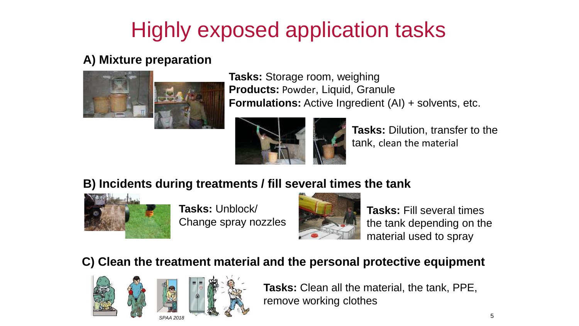## Highly exposed application tasks

#### **A) Mixture preparation**



**Tasks:** Storage room, weighing **Products:** Powder, Liquid, Granule **Formulations:** Active Ingredient (AI) + solvents, etc.



**Tasks:** Dilution, transfer to the tank, clean the material

#### **B) Incidents during treatments / fill several times the tank**



**Tasks:** Unblock/ Change spray nozzles



**Tasks:** Fill several times the tank depending on the material used to spray

#### **C) Clean the treatment material and the personal protective equipment**



**Tasks:** Clean all the material, the tank, PPE, remove working clothes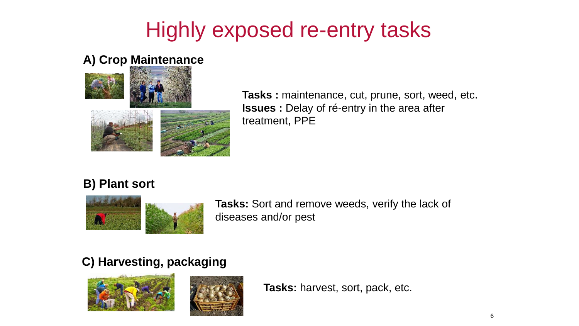### Highly exposed re-entry tasks

#### **A) Crop Maintenance**



**Tasks :** maintenance, cut, prune, sort, weed, etc. **Issues :** Delay of ré-entry in the area after treatment, PPE

#### **B) Plant sort**



**Tasks:** Sort and remove weeds, verify the lack of diseases and/or pest

### **C) Harvesting, packaging**



**Tasks:** harvest, sort, pack, etc.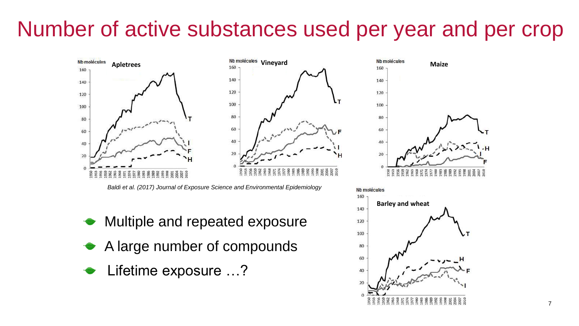### Number of active substances used per year and per crop



*Baldi et al. (2017) Journal of Exposure Science and Environmental Epidemiology*

- Multiple and repeated exposure
- A large number of compounds
- Lifetime exposure …?



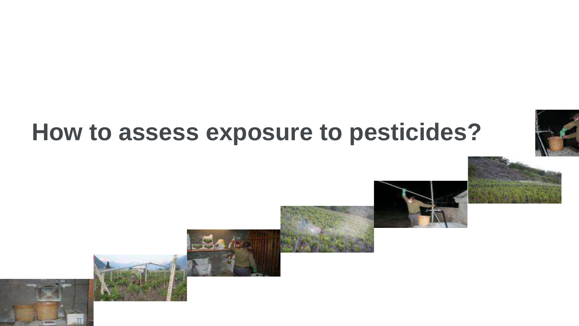## **How to assess exposure to pesticides?**

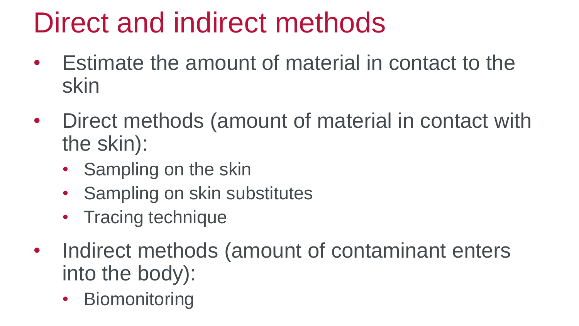# Direct and indirect methods

- Estimate the amount of material in contact to the skin
- Direct methods (amount of material in contact with the skin):
	- Sampling on the skin
	- Sampling on skin substitutes
	- Tracing technique
- Indirect methods (amount of contaminant enters into the body):
	- Biomonitoring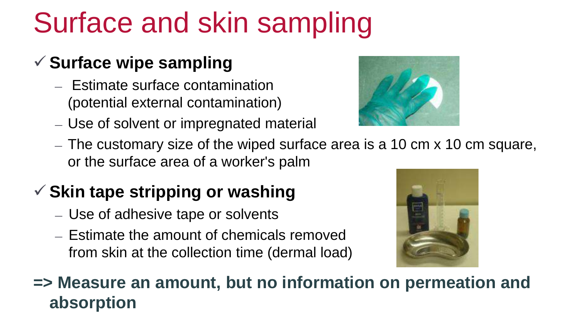# Surface and skin sampling

### **✓ Surface wipe sampling**

- Estimate surface contamination (potential external contamination)
- Use of solvent or impregnated material



– The customary size of the wiped surface area is a 10 cm x 10 cm square, or the surface area of a worker's palm

### **Skin tape stripping or washing**

- Use of adhesive tape or solvents
- Estimate the amount of chemicals removed from skin at the collection time (dermal load)



**=> Measure an amount, but no information on permeation and absorption**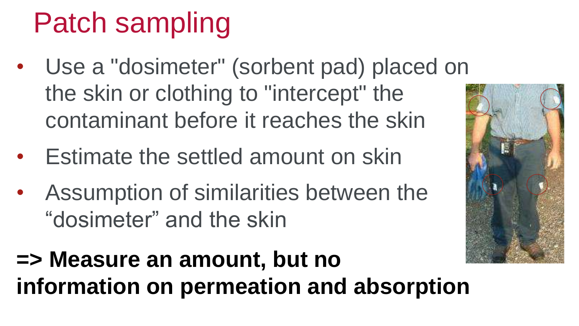# Patch sampling

- Use a "dosimeter" (sorbent pad) placed on the skin or clothing to "intercept" the contaminant before it reaches the skin
- Estimate the settled amount on skin
- Assumption of similarities between the "dosimeter" and the skin



## **=> Measure an amount, but no information on permeation and absorption**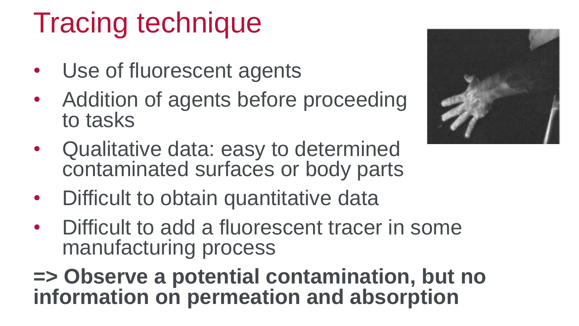# Tracing technique

- Use of fluorescent agents
- Addition of agents before proceeding to tasks



- Qualitative data: easy to determined contaminated surfaces or body parts
- Difficult to obtain quantitative data
- Difficult to add a fluorescent tracer in some manufacturing process

**=> Observe a potential contamination, but no information on permeation and absorption**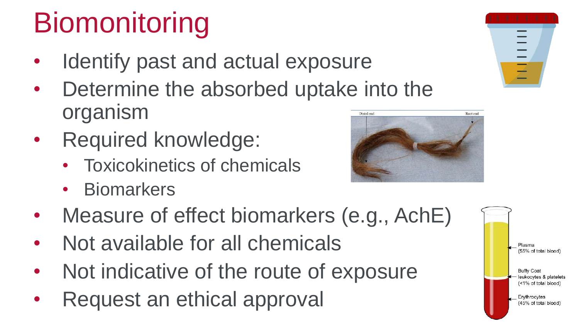# **Biomonitoring**

- Identify past and actual exposure
- Determine the absorbed uptake into the organism Distal end
- Required knowledge:
	- Toxicokinetics of chemicals
	- Biomarkers
- Measure of effect biomarkers (e.g., AchE)
- Not available for all chemicals
- Not indicative of the route of exposure
- Request an ethical approval





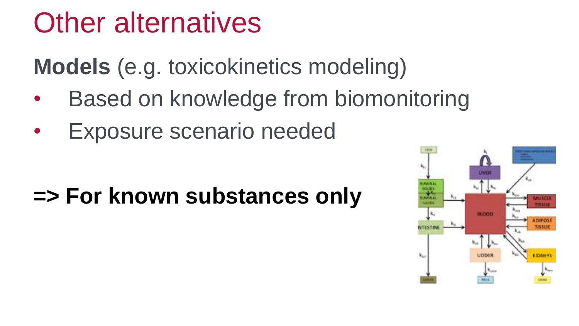## Other alternatives

**Models** (e.g. toxicokinetics modeling)

- Based on knowledge from biomonitoring
- **Exposure scenario needed**

## **=> For known substances only**

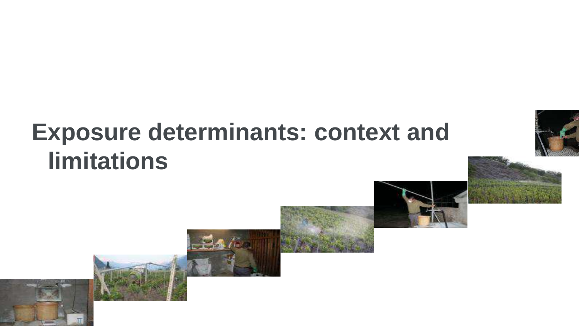## **Exposure determinants: context and limitations**



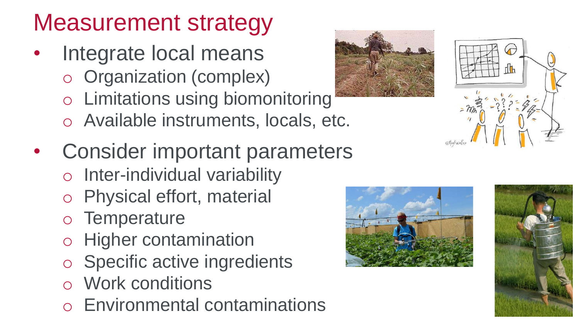## Measurement strategy

- Integrate local means o Organization (complex)
	- o Limitations using biomonitoring
	- o Available instruments, locals, etc.
- Consider important parameters
	- o Inter-individual variability
	- o Physical effort, material
	- o Temperature
	- o Higher contamination
	- o Specific active ingredients
	- o Work conditions
	- o Environmental contaminations







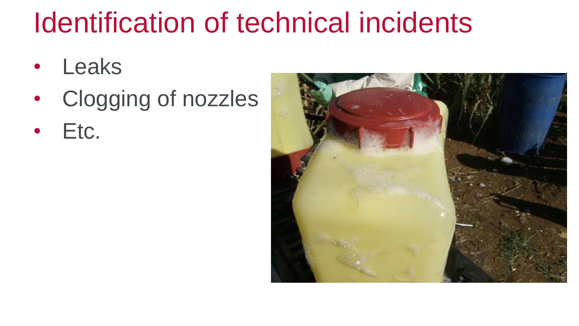## Identification of technical incidents

- Leaks
- Clogging of nozzles
- Etc.

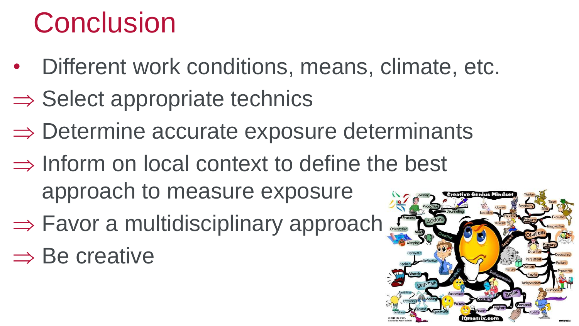# **Conclusion**

- Different work conditions, means, climate, etc.
- $\Rightarrow$  Select appropriate technics
- $\Rightarrow$  Determine accurate exposure determinants
- $\Rightarrow$  Inform on local context to define the best approach to measure exposure
- ⇒ Favor a multidisciplinary approach
- $\Rightarrow$  Be creative